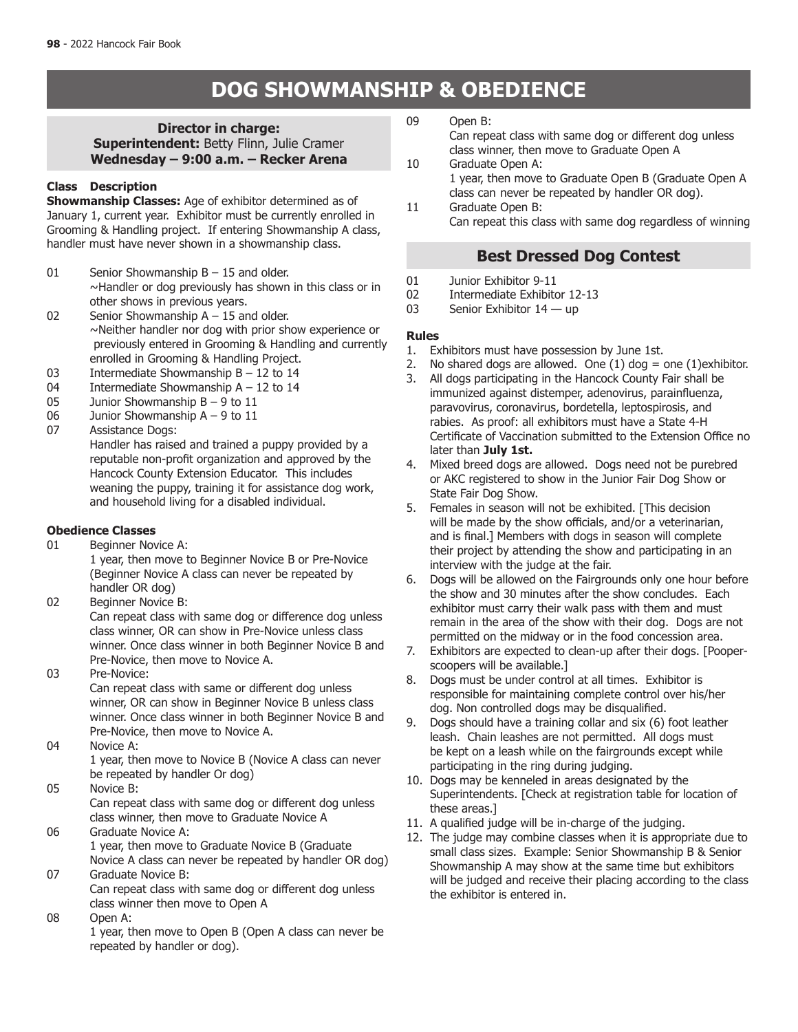# **DOG SHOWMANSHIP & OBEDIENCE**

**Director in charge: Superintendent:** Betty Flinn, Julie Cramer **Wednesday – 9:00 a.m. – Recker Arena**

# **Class Description**

**Showmanship Classes:** Age of exhibitor determined as of January 1, current year. Exhibitor must be currently enrolled in Grooming & Handling project. If entering Showmanship A class, handler must have never shown in a showmanship class.

- 01 Senior Showmanship B 15 and older. ~Handler or dog previously has shown in this class or in other shows in previous years.
- 02 Senior Showmanship A 15 and older. ~Neither handler nor dog with prior show experience or previously entered in Grooming & Handling and currently enrolled in Grooming & Handling Project.
- 03 Intermediate Showmanship B 12 to 14
- 04 Intermediate Showmanship  $A 12$  to 14<br>05 Junior Showmanship  $B 9$  to 11
- Junior Showmanship  $B 9$  to 11
- 06 Junior Showmanship A 9 to 11
- 07 Assistance Dogs: Handler has raised and trained a puppy provided by a reputable non-profit organization and approved by the Hancock County Extension Educator. This includes weaning the puppy, training it for assistance dog work, and household living for a disabled individual.

# **Obedience Classes**<br>01 Beginner Nov

- Beginner Novice A: 1 year, then move to Beginner Novice B or Pre-Novice (Beginner Novice A class can never be repeated by handler OR dog)
- 02 Beginner Novice B: Can repeat class with same dog or difference dog unless class winner, OR can show in Pre-Novice unless class winner. Once class winner in both Beginner Novice B and Pre-Novice, then move to Novice A.
- 03 Pre-Novice: Can repeat class with same or different dog unless winner, OR can show in Beginner Novice B unless class winner. Once class winner in both Beginner Novice B and Pre-Novice, then move to Novice A.
- 04 Novice A:

1 year, then move to Novice B (Novice A class can never be repeated by handler Or dog)

05 Novice B:

 Can repeat class with same dog or different dog unless class winner, then move to Graduate Novice A

- 06 Graduate Novice A: 1 year, then move to Graduate Novice B (Graduate Novice A class can never be repeated by handler OR dog)
- 07 Graduate Novice B: Can repeat class with same dog or different dog unless
- class winner then move to Open A
- 08 Open A:

1 year, then move to Open B (Open A class can never be repeated by handler or dog).

09 Open B:

 Can repeat class with same dog or different dog unless class winner, then move to Graduate Open A 10 Graduate Open A:

- 1 year, then move to Graduate Open B (Graduate Open A class can never be repeated by handler OR dog).
- 11 Graduate Open B: Can repeat this class with same dog regardless of winning

# **Best Dressed Dog Contest**

- 01 Junior Exhibitor 9-11
- 02 Intermediate Exhibitor 12-13
- 03 Senior Exhibitor 14 up

# **Rules**

- 1. Exhibitors must have possession by June 1st.<br>2. No shared dogs are allowed. One  $(1)$  dog =
- No shared dogs are allowed. One  $(1)$  dog = one  $(1)$ exhibitor.
- 3. All dogs participating in the Hancock County Fair shall be immunized against distemper, adenovirus, parainfluenza, paravovirus, coronavirus, bordetella, leptospirosis, and rabies. As proof: all exhibitors must have a State 4-H Certificate of Vaccination submitted to the Extension Office no later than **July 1st.**
- 4. Mixed breed dogs are allowed. Dogs need not be purebred or AKC registered to show in the Junior Fair Dog Show or State Fair Dog Show.
- 5. Females in season will not be exhibited. [This decision will be made by the show officials, and/or a veterinarian, and is final.] Members with dogs in season will complete their project by attending the show and participating in an interview with the judge at the fair.
- 6. Dogs will be allowed on the Fairgrounds only one hour before the show and 30 minutes after the show concludes. Each exhibitor must carry their walk pass with them and must remain in the area of the show with their dog. Dogs are not permitted on the midway or in the food concession area.
- 7. Exhibitors are expected to clean-up after their dogs. [Pooperscoopers will be available.]
- 8. Dogs must be under control at all times. Exhibitor is responsible for maintaining complete control over his/her dog. Non controlled dogs may be disqualified.
- 9. Dogs should have a training collar and six (6) foot leather leash. Chain leashes are not permitted. All dogs must be kept on a leash while on the fairgrounds except while participating in the ring during judging.
- 10. Dogs may be kenneled in areas designated by the Superintendents. [Check at registration table for location of these areas.]
- 11. A qualified judge will be in-charge of the judging.
- 12. The judge may combine classes when it is appropriate due to small class sizes. Example: Senior Showmanship B & Senior Showmanship A may show at the same time but exhibitors will be judged and receive their placing according to the class the exhibitor is entered in.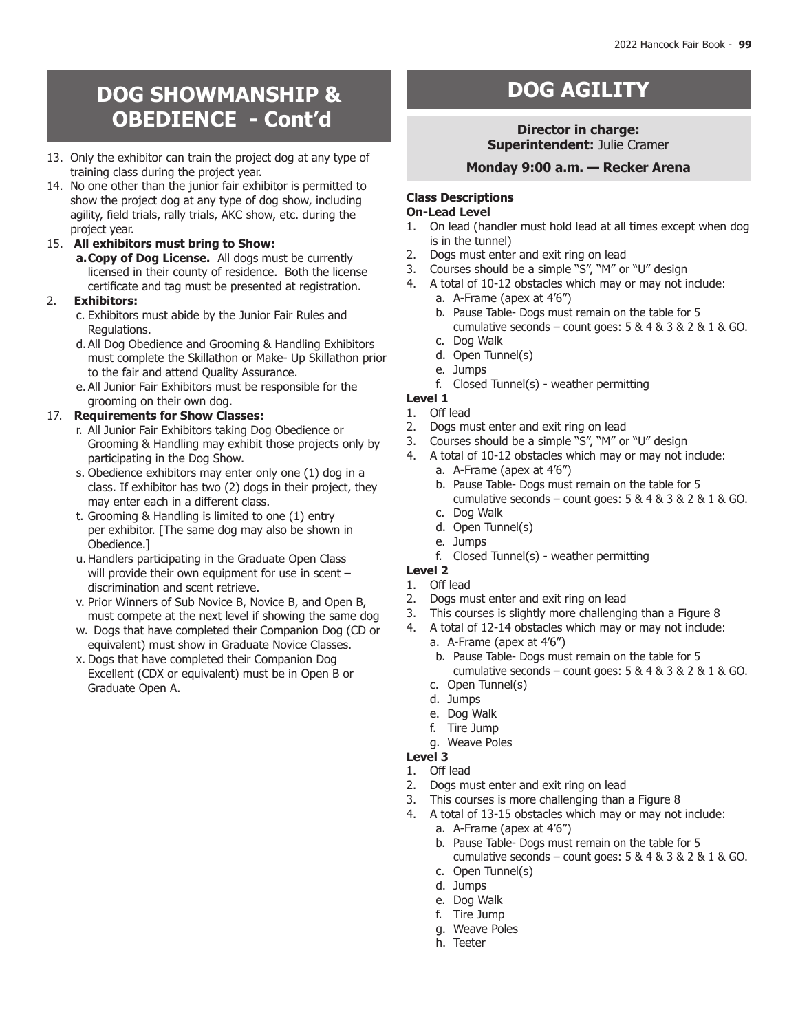# **BAGING SHOWMANSHIP & CANDING BACILITY OBEDIENCE - Cont'd**

- 13. Only the exhibitor can train the project dog at any type of training class during the project year.
- 14. No one other than the junior fair exhibitor is permitted to show the project dog at any type of dog show, including agility, field trials, rally trials, AKC show, etc. during the project year.

# 15. **All exhibitors must bring to Show:**

**a.Copy of Dog License.** All dogs must be currently licensed in their county of residence. Both the license certificate and tag must be presented at registration.

# 2. **Exhibitors:**

- c. Exhibitors must abide by the Junior Fair Rules and Regulations.
- d.All Dog Obedience and Grooming & Handling Exhibitors must complete the Skillathon or Make- Up Skillathon prior to the fair and attend Quality Assurance.
- e. All Junior Fair Exhibitors must be responsible for the grooming on their own dog.

# 17. **Requirements for Show Classes:**

- r. All Junior Fair Exhibitors taking Dog Obedience or Grooming & Handling may exhibit those projects only by participating in the Dog Show.
- s. Obedience exhibitors may enter only one (1) dog in a class. If exhibitor has two (2) dogs in their project, they may enter each in a different class.
- t. Grooming & Handling is limited to one (1) entry per exhibitor. [The same dog may also be shown in Obedience.]
- u.Handlers participating in the Graduate Open Class will provide their own equipment for use in scent – discrimination and scent retrieve.
- v. Prior Winners of Sub Novice B, Novice B, and Open B, must compete at the next level if showing the same dog
- w. Dogs that have completed their Companion Dog (CD or equivalent) must show in Graduate Novice Classes.
- x. Dogs that have completed their Companion Dog Excellent (CDX or equivalent) must be in Open B or Graduate Open A.

# **Director in charge: Superintendent:** Julie Cramer

# **Monday 9:00 a.m. — Recker Arena**

# **Class Descriptions**

# **On-Lead Level**

- 1. On lead (handler must hold lead at all times except when dog is in the tunnel)
- 2. Dogs must enter and exit ring on lead<br>3. Courses should be a simple "S", "M" or
- Courses should be a simple "S", "M" or "U" design
- 4. A total of 10-12 obstacles which may or may not include:
	- a. A-Frame (apex at 4'6")
	- b. Pause Table- Dogs must remain on the table for 5 cumulative seconds – count goes:  $5 & 4 & 3 & 2 & 1 & 6$  GO.
	- c. Dog Walk
	- d. Open Tunnel(s)
	- e. Jumps
	- f. Closed Tunnel(s) weather permitting
- **Level 1**
- 1. Off lead
- 2. Dogs must enter and exit ring on lead
- 3. Courses should be a simple "S", "M" or "U" design
- 4. A total of 10-12 obstacles which may or may not include:
	- a. A-Frame (apex at 4'6")
	- b. Pause Table- Dogs must remain on the table for 5 cumulative seconds – count goes:  $5 & 4 & 3 & 2 & 1 & 6$  GO. c. Dog Walk
	- d. Open Tunnel(s)
	- e. Jumps
	-
	- f. Closed Tunnel(s) weather permitting
- **Level 2**
- 1. Off lead
- 2. Dogs must enter and exit ring on lead
- 3. This courses is slightly more challenging than a Figure 8
- 4. A total of 12-14 obstacles which may or may not include:
	- a. A-Frame (apex at 4'6")
	- b. Pause Table- Dogs must remain on the table for 5 cumulative seconds – count goes: 5 & 4 & 3 & 2 & 1 & GO. c. Open Tunnel(s)
	-
	- d. Jumps
	- e. Dog Walk
	- f. Tire Jump
	- g. Weave Poles
- **Level 3**  1. Off lead
- 2. Dogs must enter and exit ring on lead
- 3. This courses is more challenging than a Figure 8
- 4. A total of 13-15 obstacles which may or may not include:
	- a. A-Frame (apex at 4'6")
	- b. Pause Table- Dogs must remain on the table for 5 cumulative seconds – count goes:  $5 & 4 & 3 & 2 & 1 & 6$
	- c. Open Tunnel(s)
	- d. Jumps
	- e. Dog Walk
	- f. Tire Jump
	- g. Weave Poles
	- h. Teeter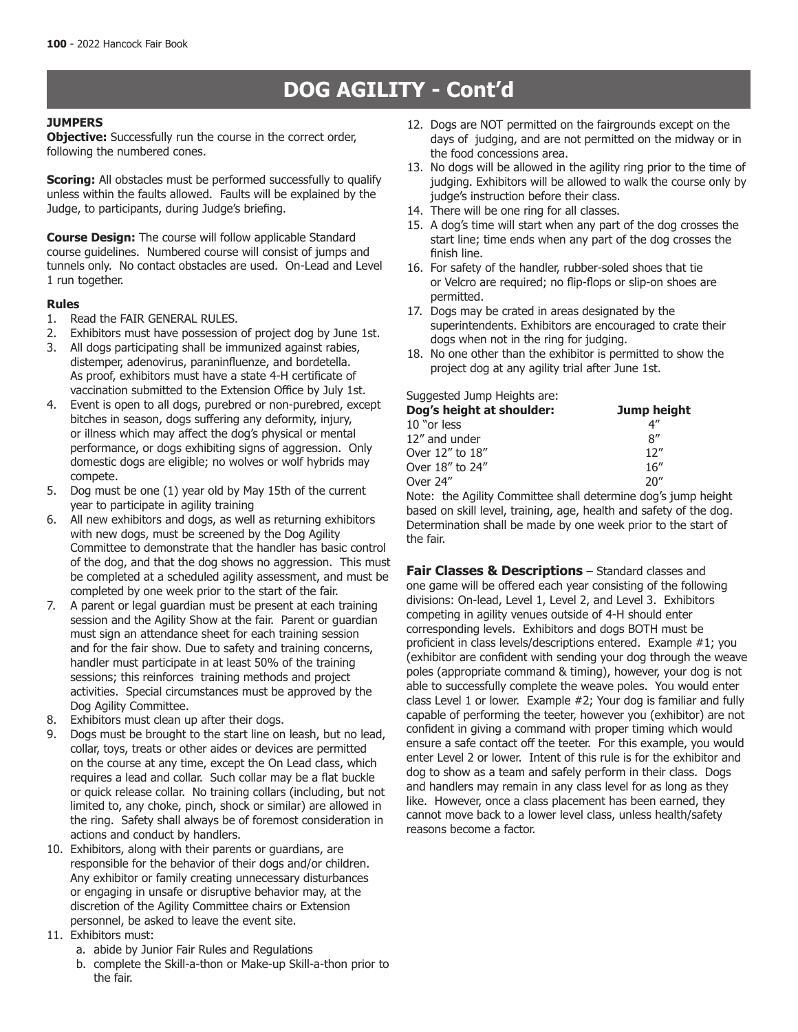# **DOG AGILITY - Cont'd**

### **JUMPERS**

**Objective:** Successfully run the course in the correct order, following the numbered cones.

**Scoring:** All obstacles must be performed successfully to qualify unless within the faults allowed. Faults will be explained by the Judge, to participants, during Judge's briefing.

**Course Design:** The course will follow applicable Standard course guidelines. Numbered course will consist of jumps and tunnels only. No contact obstacles are used. On-Lead and Level 1 run together.

#### **Rules**

- 1. Read the FAIR GENERAL RULES.
- 2. Exhibitors must have possession of project dog by June 1st.
- 3. All dogs participating shall be immunized against rabies, distemper, adenovirus, paraninfluenze, and bordetella. As proof, exhibitors must have a state 4-H certificate of vaccination submitted to the Extension Office by July 1st.
- 4. Event is open to all dogs, purebred or non-purebred, except bitches in season, dogs suffering any deformity, injury, or illness which may affect the dog's physical or mental performance, or dogs exhibiting signs of aggression. Only domestic dogs are eligible; no wolves or wolf hybrids may compete.
- 5. Dog must be one (1) year old by May 15th of the current year to participate in agility training
- 6. All new exhibitors and dogs, as well as returning exhibitors with new dogs, must be screened by the Dog Agility Committee to demonstrate that the handler has basic control of the dog, and that the dog shows no aggression. This must be completed at a scheduled agility assessment, and must be completed by one week prior to the start of the fair.
- 7. A parent or legal guardian must be present at each training session and the Agility Show at the fair. Parent or guardian must sign an attendance sheet for each training session and for the fair show. Due to safety and training concerns, handler must participate in at least 50% of the training sessions; this reinforces training methods and project activities. Special circumstances must be approved by the Dog Agility Committee.
- 8. Exhibitors must clean up after their dogs.
- 9. Dogs must be brought to the start line on leash, but no lead, collar, toys, treats or other aides or devices are permitted on the course at any time, except the On Lead class, which requires a lead and collar. Such collar may be a flat buckle or quick release collar. No training collars (including, but not limited to, any choke, pinch, shock or similar) are allowed in the ring. Safety shall always be of foremost consideration in actions and conduct by handlers.
- 10. Exhibitors, along with their parents or guardians, are responsible for the behavior of their dogs and/or children. Any exhibitor or family creating unnecessary disturbances or engaging in unsafe or disruptive behavior may, at the discretion of the Agility Committee chairs or Extension personnel, be asked to leave the event site.
- 11. Exhibitors must:
	- a. abide by Junior Fair Rules and Regulations
	- b. complete the Skill-a-thon or Make-up Skill-a-thon prior to the fair.
- 12. Dogs are NOT permitted on the fairgrounds except on the days of judging, and are not permitted on the midway or in the food concessions area.
- 13. No dogs will be allowed in the agility ring prior to the time of judging. Exhibitors will be allowed to walk the course only by judge's instruction before their class.
- 14. There will be one ring for all classes.
- 15. A dog's time will start when any part of the dog crosses the start line; time ends when any part of the dog crosses the finish line.
- 16. For safety of the handler, rubber-soled shoes that tie or Velcro are required; no flip-flops or slip-on shoes are permitted.
- 17. Dogs may be crated in areas designated by the superintendents. Exhibitors are encouraged to crate their dogs when not in the ring for judging.
- 18. No one other than the exhibitor is permitted to show the project dog at any agility trial after June 1st.

#### Suggested Jump Heights are:

| Jump height |
|-------------|
| 4"          |
| R''         |
| 12''        |
| 16''        |
| 20''        |
|             |

Note: the Agility Committee shall determine dog's jump height based on skill level, training, age, health and safety of the dog. Determination shall be made by one week prior to the start of the fair.

**Fair Classes & Descriptions** – Standard classes and one game will be offered each year consisting of the following divisions: On-lead, Level 1, Level 2, and Level 3. Exhibitors competing in agility venues outside of 4-H should enter corresponding levels. Exhibitors and dogs BOTH must be proficient in class levels/descriptions entered. Example #1; you (exhibitor are confident with sending your dog through the weave poles (appropriate command & timing), however, your dog is not able to successfully complete the weave poles. You would enter class Level 1 or lower. Example #2; Your dog is familiar and fully capable of performing the teeter, however you (exhibitor) are not confident in giving a command with proper timing which would ensure a safe contact off the teeter. For this example, you would enter Level 2 or lower. Intent of this rule is for the exhibitor and dog to show as a team and safely perform in their class. Dogs and handlers may remain in any class level for as long as they like. However, once a class placement has been earned, they cannot move back to a lower level class, unless health/safety reasons become a factor.